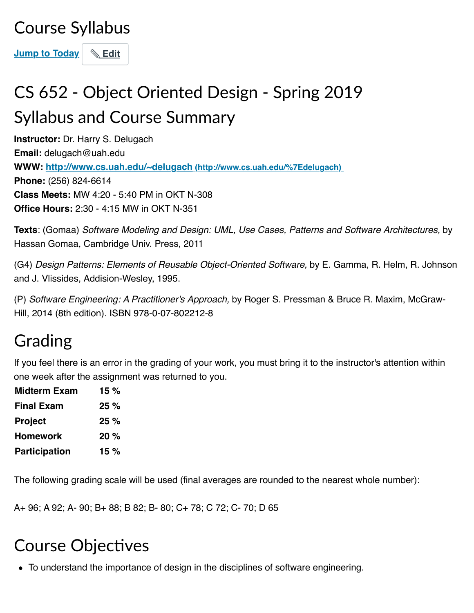### Course Syllabus

**[Jump to Today](https://uah.instructure.com/courses/34284/assignments/syllabus#)** | **& [Edit](https://uah.instructure.com/courses/34284/assignments/syllabus#)** 

# CS 652 - Object Oriented Design - Spring 2019 Syllabus and Course Summary

**Instructor:** Dr. Harry S. Delugach **Email:** delugach@uah.edu **WWW: [http://www.cs.uah.edu/~delugach \(http://www.cs.uah.edu/%7Edelugach\)](http://www.cs.uah.edu/%7Edelugach)  Phone:** (256) 824-6614 **Class Meets:** MW 4:20 - 5:40 PM in OKT N-308 **Office Hours:** 2:30 - 4:15 MW in OKT N-351

**Texts**: (Gomaa) *Software Modeling and Design: UML, Use Cases, Patterns and Software Architectures,* by Hassan Gomaa, Cambridge Univ. Press, 2011

(G4) *Design Patterns: Elements of Reusable Object-Oriented Software,* by E. Gamma, R. Helm, R. Johnson and J. Vlissides, Addision-Wesley, 1995.

(P) *Software Engineering: A Practitioner's Approach,* by Roger S. Pressman & Bruce R. Maxim, McGraw-Hill, 2014 (8th edition). ISBN 978-0-07-802212-8

### Grading

If you feel there is an error in the grading of your work, you must bring it to the instructor's attention within one week after the assignment was returned to you.

| 15 $%$ |
|--------|
| 25%    |
| 25%    |
| $20\%$ |
| 15 %   |
|        |

The following grading scale will be used (final averages are rounded to the nearest whole number):

A+ 96; A 92; A- 90; B+ 88; B 82; B- 80; C+ 78; C 72; C- 70; D 65

# **Course Objectives**

To understand the importance of design in the disciplines of software engineering.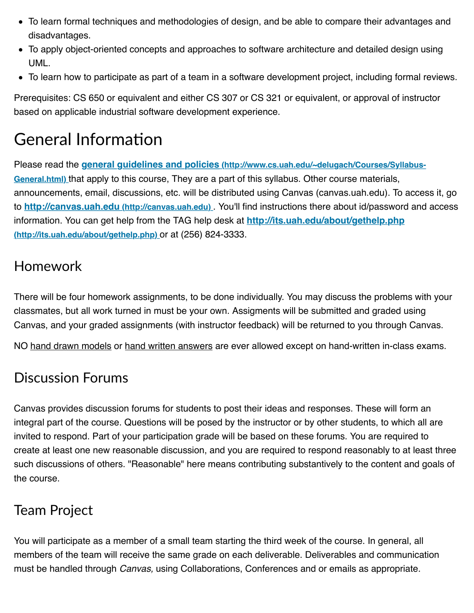- To learn formal techniques and methodologies of design, and be able to compare their advantages and disadvantages.
- To apply object-oriented concepts and approaches to software architecture and detailed design using UML.
- To learn how to participate as part of a team in a software development project, including formal reviews.

Prerequisites: CS 650 or equivalent and either CS 307 or CS 321 or equivalent, or approval of instructor based on applicable industrial software development experience.

# **General Information**

Please read the *[general guidelines and policies \(http://www.cs.uah.edu/~delugach/Courses/Syllabus-](http://www.cs.uah.edu/~delugach/Courses/Syllabus-General.html)***General.html)** that apply to this course, They are a part of this syllabus. Other course materials, announcements, email, discussions, etc. will be distributed using Canvas (canvas.uah.edu). To access it, go to **[http://canvas.uah.edu \(http://canvas.uah.edu\)](http://canvas.uah.edu/)** . You'll find instructions there about id/password and access [information. You can get help from the TAG help desk at](http://its.uah.edu/about/gethelp.php) **http://its.uah.edu/about/gethelp.php (http://its.uah.edu/about/gethelp.php)** or at (256) 824-3333.

#### Homework

There will be four homework assignments, to be done individually. You may discuss the problems with your classmates, but all work turned in must be your own. Assigments will be submitted and graded using Canvas, and your graded assignments (with instructor feedback) will be returned to you through Canvas.

NO hand drawn models or hand written answers are ever allowed except on hand-written in-class exams.

#### Discussion Forums

Canvas provides discussion forums for students to post their ideas and responses. These will form an integral part of the course. Questions will be posed by the instructor or by other students, to which all are invited to respond. Part of your participation grade will be based on these forums. You are required to create at least one new reasonable discussion, and you are required to respond reasonably to at least three such discussions of others. "Reasonable" here means contributing substantively to the content and goals of the course.

#### Team Project

You will participate as a member of a small team starting the third week of the course. In general, all members of the team will receive the same grade on each deliverable. Deliverables and communication must be handled through *Canvas,* using Collaborations, Conferences and or emails as appropriate.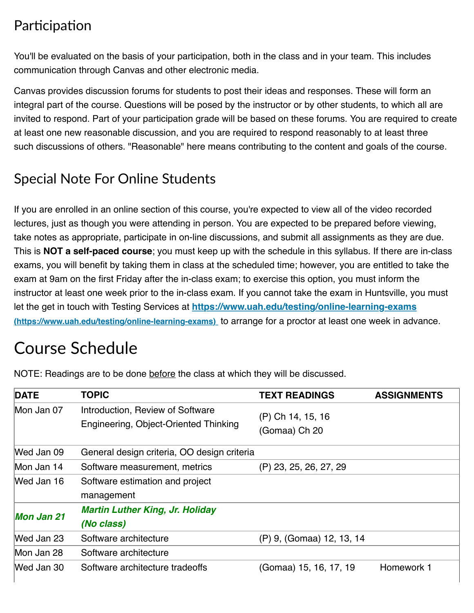#### Participation

You'll be evaluated on the basis of your participation, both in the class and in your team. This includes communication through Canvas and other electronic media.

Canvas provides discussion forums for students to post their ideas and responses. These will form an integral part of the course. Questions will be posed by the instructor or by other students, to which all are invited to respond. Part of your participation grade will be based on these forums. You are required to create at least one new reasonable discussion, and you are required to respond reasonably to at least three such discussions of others. "Reasonable" here means contributing to the content and goals of the course.

#### Special Note For Online Students

If you are enrolled in an online section of this course, you're expected to view all of the video recorded lectures, just as though you were attending in person. You are expected to be prepared before viewing, take notes as appropriate, participate in on-line discussions, and submit all assignments as they are due. This is **NOT a self-paced course**; you must keep up with the schedule in this syllabus. If there are in-class exams, you will benefit by taking them in class at the scheduled time; however, you are entitled to take the exam at 9am on the first Friday after the in-class exam; to exercise this option, you must inform the instructor at least one week prior to the in-class exam. If you cannot take the exam in Huntsville, you must let the get in touch with Testing Services at **<https://www.uah.edu/testing/online-learning-exams> (https://www.uah.edu/testing/online-learning-exams)** to arrange for a proctor at least one week in advance.

### Course Schedule

| <b>DATE</b>       | <b>TOPIC</b>                                                              | <b>TEXT READINGS</b>               | <b>ASSIGNMENTS</b> |
|-------------------|---------------------------------------------------------------------------|------------------------------------|--------------------|
| Mon Jan 07        | Introduction, Review of Software<br>Engineering, Object-Oriented Thinking | (P) Ch 14, 15, 16<br>(Gomaa) Ch 20 |                    |
| Wed Jan 09        | General design criteria, OO design criteria                               |                                    |                    |
| Mon Jan 14        | Software measurement, metrics                                             | (P) 23, 25, 26, 27, 29             |                    |
| Wed Jan 16        | Software estimation and project                                           |                                    |                    |
| <b>Mon Jan 21</b> | management<br><b>Martin Luther King, Jr. Holiday</b>                      |                                    |                    |
|                   | (No class)                                                                |                                    |                    |
| Wed Jan 23        | Software architecture                                                     | (P) 9, (Gomaa) 12, 13, 14          |                    |
| Mon Jan 28        | Software architecture                                                     |                                    |                    |
| Wed Jan 30        | Software architecture tradeoffs                                           | (Gomaa) 15, 16, 17, 19             | Homework 1         |

NOTE: Readings are to be done before the class at which they will be discussed.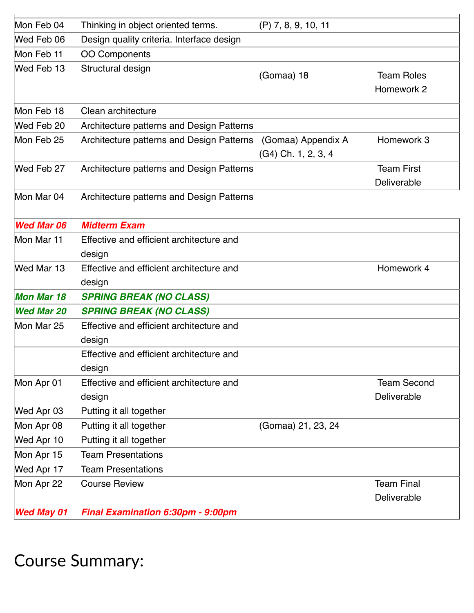| Mon Feb 04        | Thinking in object oriented terms.                 | $(P)$ 7, 8, 9, 10, 11                     |                                   |
|-------------------|----------------------------------------------------|-------------------------------------------|-----------------------------------|
| Wed Feb 06        | Design quality criteria. Interface design          |                                           |                                   |
| Mon Feb 11        | <b>OO Components</b>                               |                                           |                                   |
| Wed Feb 13        | Structural design                                  | (Gomaa) 18                                | <b>Team Roles</b><br>Homework 2   |
| Mon Feb 18        | Clean architecture                                 |                                           |                                   |
| Wed Feb 20        | Architecture patterns and Design Patterns          |                                           |                                   |
| Mon Feb 25        | Architecture patterns and Design Patterns          | (Gomaa) Appendix A<br>(G4) Ch. 1, 2, 3, 4 | Homework 3                        |
| Wed Feb 27        | Architecture patterns and Design Patterns          |                                           | <b>Team First</b><br>Deliverable  |
| Mon Mar 04        | Architecture patterns and Design Patterns          |                                           |                                   |
| <b>Wed Mar 06</b> | <b>Midterm Exam</b>                                |                                           |                                   |
| Mon Mar 11        | Effective and efficient architecture and<br>design |                                           |                                   |
| Wed Mar 13        | Effective and efficient architecture and<br>design |                                           | Homework 4                        |
| <b>Mon Mar 18</b> | <b>SPRING BREAK (NO CLASS)</b>                     |                                           |                                   |
| <b>Wed Mar 20</b> | <b>SPRING BREAK (NO CLASS)</b>                     |                                           |                                   |
| Mon Mar 25        | Effective and efficient architecture and<br>design |                                           |                                   |
|                   | Effective and efficient architecture and<br>design |                                           |                                   |
| Mon Apr 01        | Effective and efficient architecture and<br>design |                                           | <b>Team Second</b><br>Deliverable |
| Wed Apr 03        | Putting it all together                            |                                           |                                   |
| Mon Apr 08        | Putting it all together                            | (Gomaa) 21, 23, 24                        |                                   |
| Wed Apr 10        | Putting it all together                            |                                           |                                   |
| Mon Apr 15        | <b>Team Presentations</b>                          |                                           |                                   |
| Wed Apr 17        | <b>Team Presentations</b>                          |                                           |                                   |
| Mon Apr 22        | <b>Course Review</b>                               |                                           | <b>Team Final</b><br>Deliverable  |
| <b>Wed May 01</b> | Final Examination 6:30pm - 9:00pm                  |                                           |                                   |

 $\mathbf{r}$ 

Course Summary: